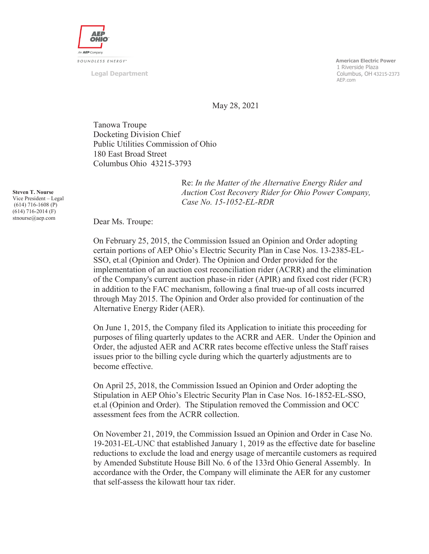

**Legal Department** 

 **American Electric Power**  1 Riverside Plaza Columbus, OH 43215-2373 AEP.com

May 28, 2021

Tanowa Troupe Docketing Division Chief Public Utilities Commission of Ohio 180 East Broad Street Columbus Ohio 43215-3793

> Re: *In the Matter of the Alternative Energy Rider and Auction Cost Recovery Rider for Ohio Power Company, Case No. 15-1052-EL-RDR*

Dear Ms. Troupe:

On February 25, 2015, the Commission Issued an Opinion and Order adopting certain portions of AEP Ohio's Electric Security Plan in Case Nos. 13-2385-EL-SSO, et.al (Opinion and Order). The Opinion and Order provided for the implementation of an auction cost reconciliation rider (ACRR) and the elimination of the Company's current auction phase-in rider (APIR) and fixed cost rider (FCR) in addition to the FAC mechanism, following a final true-up of all costs incurred through May 2015. The Opinion and Order also provided for continuation of the Alternative Energy Rider (AER).

On June 1, 2015, the Company filed its Application to initiate this proceeding for purposes of filing quarterly updates to the ACRR and AER. Under the Opinion and Order, the adjusted AER and ACRR rates become effective unless the Staff raises issues prior to the billing cycle during which the quarterly adjustments are to become effective.

On April 25, 2018, the Commission Issued an Opinion and Order adopting the Stipulation in AEP Ohio's Electric Security Plan in Case Nos. 16-1852-EL-SSO, et.al (Opinion and Order). The Stipulation removed the Commission and OCC assessment fees from the ACRR collection.

On November 21, 2019, the Commission Issued an Opinion and Order in Case No. 19-2031-EL-UNC that established January 1, 2019 as the effective date for baseline reductions to exclude the load and energy usage of mercantile customers as required by Amended Substitute House Bill No. 6 of the 133rd Ohio General Assembly. In accordance with the Order, the Company will eliminate the AER for any customer that self-assess the kilowatt hour tax rider.

**Steven T. Nourse**  Vice President – Legal (614) 716-1608 (P) (614) 716-2014 (F) stnourse@aep.com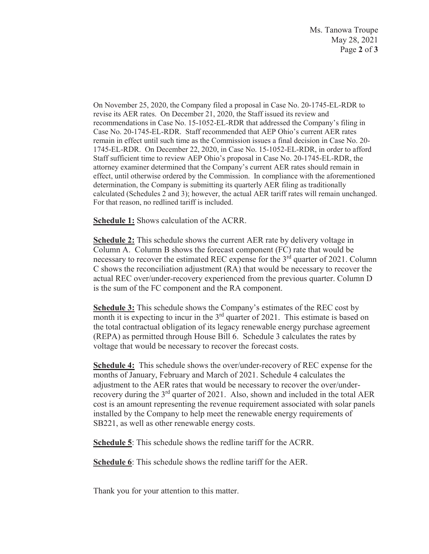Ms. Tanowa Troupe May 28, 2021 Page **2** of **3**

On November 25, 2020, the Company filed a proposal in Case No. 20-1745-EL-RDR to revise its AER rates. On December 21, 2020, the Staff issued its review and recommendations in Case No. 15-1052-EL-RDR that addressed the Company's filing in Case No. 20-1745-EL-RDR. Staff recommended that AEP Ohio's current AER rates remain in effect until such time as the Commission issues a final decision in Case No. 20- 1745-EL-RDR. On December 22, 2020, in Case No. 15-1052-EL-RDR, in order to afford Staff sufficient time to review AEP Ohio's proposal in Case No. 20-1745-EL-RDR, the attorney examiner determined that the Company's current AER rates should remain in effect, until otherwise ordered by the Commission. In compliance with the aforementioned determination, the Company is submitting its quarterly AER filing as traditionally calculated (Schedules 2 and 3); however, the actual AER tariff rates will remain unchanged. For that reason, no redlined tariff is included.

**Schedule 1:** Shows calculation of the ACRR.

**Schedule 2:** This schedule shows the current AER rate by delivery voltage in Column A. Column B shows the forecast component (FC) rate that would be necessary to recover the estimated REC expense for the 3<sup>rd</sup> quarter of 2021. Column C shows the reconciliation adjustment (RA) that would be necessary to recover the actual REC over/under-recovery experienced from the previous quarter. Column D is the sum of the FC component and the RA component.

**Schedule 3:** This schedule shows the Company's estimates of the REC cost by month it is expecting to incur in the  $3<sup>rd</sup>$  quarter of 2021. This estimate is based on the total contractual obligation of its legacy renewable energy purchase agreement (REPA) as permitted through House Bill 6. Schedule 3 calculates the rates by voltage that would be necessary to recover the forecast costs.

**Schedule 4:** This schedule shows the over/under-recovery of REC expense for the months of January, February and March of 2021. Schedule 4 calculates the adjustment to the AER rates that would be necessary to recover the over/underrecovery during the 3<sup>rd</sup> quarter of 2021. Also, shown and included in the total AER cost is an amount representing the revenue requirement associated with solar panels installed by the Company to help meet the renewable energy requirements of SB221, as well as other renewable energy costs.

**Schedule 5**: This schedule shows the redline tariff for the ACRR.

**Schedule 6**: This schedule shows the redline tariff for the AER.

Thank you for your attention to this matter.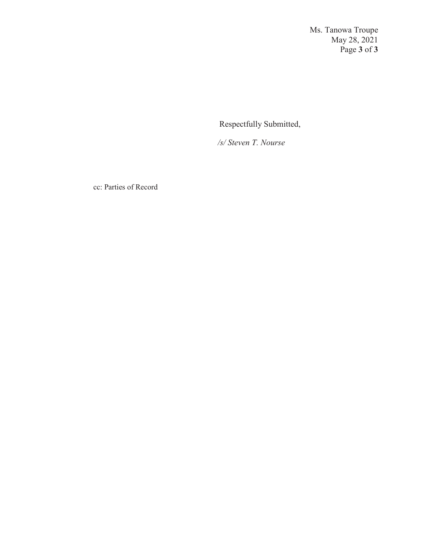Ms. Tanowa Troupe May 28, 2021 Page **3** of **3**

Respectfully Submitted,

 */s/ Steven T. Nourse* 

cc: Parties of Record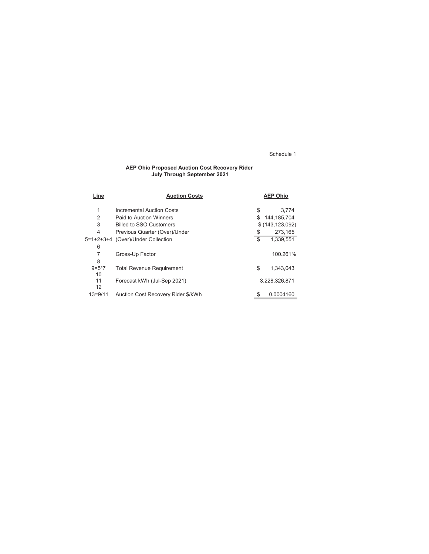#### AEP Ohio Proposed Auction Cost Recovery Rider July Through September 2021

| Line           | <b>Auction Costs</b>               |    | <b>AEP Ohio</b>   |
|----------------|------------------------------------|----|-------------------|
| 1              | Incremental Auction Costs          | \$ | 3.774             |
| $\overline{2}$ | Paid to Auction Winners            | S  | 144,185,704       |
| 3              | <b>Billed to SSO Customers</b>     |    | \$(143, 123, 092) |
| $\overline{4}$ | Previous Quarter (Over)/Under      | \$ | 273,165           |
|                | 5=1+2+3+4 (Over)/Under Collection  | \$ | 1,339,551         |
| 6              |                                    |    |                   |
| 7              | Gross-Up Factor                    |    | 100.261%          |
| 8              |                                    |    |                   |
| $9 = 5*7$      | <b>Total Revenue Requirement</b>   | \$ | 1,343,043         |
| 10             |                                    |    |                   |
| 11             | Forecast kWh (Jul-Sep 2021)        |    | 3,228,326,871     |
| 12             |                                    |    |                   |
| $13 = 9/11$    | Auction Cost Recovery Rider \$/kWh | S  | 0.0004160         |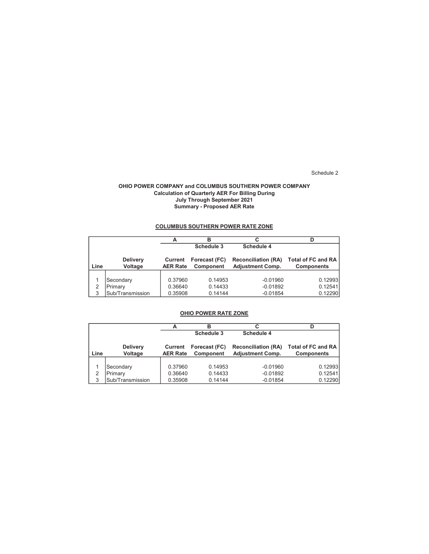#### OHIO POWER COMPANY and COLUMBUS SOUTHERN POWER COMPANY Calculation of Quarterly AER For Billing During July Through September 2021 Summary - Proposed AER Rate

## COLUMBUS SOUTHERN POWER RATE ZONE

|      |                            |                            | в                                 | C                                                     |                                                |
|------|----------------------------|----------------------------|-----------------------------------|-------------------------------------------------------|------------------------------------------------|
|      |                            |                            | Schedule 3                        | Schedule 4                                            |                                                |
| Line | <b>Delivery</b><br>Voltage | Current<br><b>AER Rate</b> | Forecast (FC)<br><b>Component</b> | <b>Reconciliation (RA)</b><br><b>Adjustment Comp.</b> | <b>Total of FC and RA</b><br><b>Components</b> |
| 2    | Secondary<br>Primary       | 0.37960<br>0.36640         | 0.14953<br>0.14433                | $-0.01960$<br>$-0.01892$                              | 0.12993<br>0.12541                             |
| 3    | Sub/Transmission           | 0.35908                    | 0.14144                           | $-0.01854$                                            | 0.12290                                        |

### OHIO POWER RATE ZONE

|      |                            |                            | в                                 | С                                                     | D                                              |
|------|----------------------------|----------------------------|-----------------------------------|-------------------------------------------------------|------------------------------------------------|
|      |                            |                            | Schedule 3                        | Schedule 4                                            |                                                |
| Line | <b>Delivery</b><br>Voltage | Current<br><b>AER Rate</b> | Forecast (FC)<br><b>Component</b> | <b>Reconciliation (RA)</b><br><b>Adjustment Comp.</b> | <b>Total of FC and RA</b><br><b>Components</b> |
|      |                            |                            |                                   |                                                       |                                                |
|      | Secondary                  | 0.37960                    | 0.14953                           | $-0.01960$                                            | 0.12993                                        |
|      | Primary                    | 0.36640                    | 0.14433                           | $-0.01892$                                            | 0.12541                                        |
| 3    | Sub/Transmission           | 0.35908                    | 0.14144                           | $-0.01854$                                            | 0.12290                                        |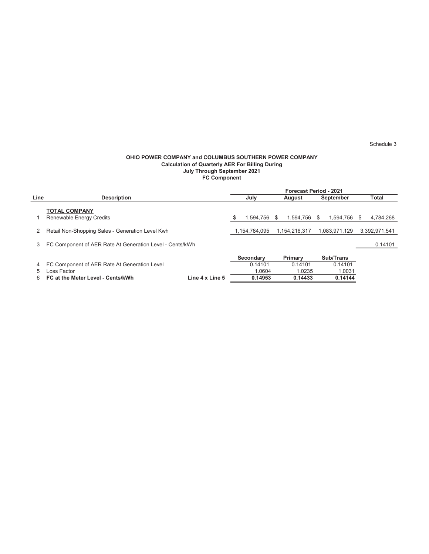#### OHIO POWER COMPANY and COLUMBUS SOUTHERN POWER COMPANY Calculation of Quarterly AER For Billing During July Through September 2021 FC Component

|      |                                                          |                 | <b>Forecast Period - 2021</b> |               |               |               |           |               |       |               |
|------|----------------------------------------------------------|-----------------|-------------------------------|---------------|---------------|---------------|-----------|---------------|-------|---------------|
| Line | <b>Description</b>                                       |                 | July                          |               | <b>August</b> |               | September |               | Total |               |
|      | <b>TOTAL COMPANY</b><br>Renewable Energy Credits         |                 | \$                            | 1,594,756     | \$.           | 1.594.756     | S.        | 1.594.756     | \$.   | 4,784,268     |
|      | Retail Non-Shopping Sales - Generation Level Kwh         |                 |                               | 1.154.784.095 |               | 1.154.216.317 |           | 1,083,971,129 |       | 3,392,971,541 |
| 3    | FC Component of AER Rate At Generation Level - Cents/kWh |                 |                               |               |               |               |           |               |       | 0.14101       |
|      |                                                          |                 |                               | Secondary     |               | Primary       |           | Sub/Trans     |       |               |
| 4    | FC Component of AER Rate At Generation Level             |                 |                               | 0.14101       |               | 0.14101       |           | 0.14101       |       |               |
| 5    | Loss Factor                                              |                 |                               | 1.0604        |               | 1.0235        |           | 1.0031        |       |               |
| 6    | FC at the Meter Level - Cents/kWh                        | Line 4 x Line 5 |                               | 0.14953       |               | 0.14433       |           | 0.14144       |       |               |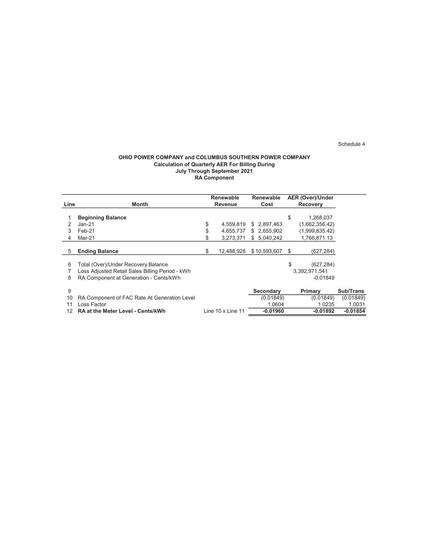#### OHIO POWER COMPANY and COLUMBUS SOUTHERN POWER COMPANY Calculation of Quarterly AER For Billing During July Through September 2021 RA Component

|      |                                                 |    | Renewable                  | <b>Renewable</b> |    | <b>AER (Over)/Under</b> |            |
|------|-------------------------------------------------|----|----------------------------|------------------|----|-------------------------|------------|
| Line | Month                                           |    | Revenue                    | Cost             |    | <b>Recovery</b>         |            |
|      |                                                 |    |                            |                  |    |                         |            |
|      | <b>Beginning Balance</b>                        |    |                            |                  | \$ | 1,268,037               |            |
|      | $Jan-21$                                        | \$ | 4,559,819                  | \$2,897,463      |    | (1,662,356.42)          |            |
|      | Feb-21                                          | \$ | 4,655,737                  | \$2,655,902      |    | (1,999,835.42)          |            |
| 4    | Mar-21                                          | S  | 3,273,371                  | 5.040.242<br>S.  |    | 1,766,871.13            |            |
|      |                                                 |    |                            |                  |    |                         |            |
| 5    | <b>Ending Balance</b>                           | S  | 12,488,928                 | \$10,593,607     | S  | (627,284)               |            |
|      |                                                 |    |                            |                  |    |                         |            |
| 6    | Total (Over)/Under Recovery Balance             |    |                            |                  | \$ | (627, 284)              |            |
|      | Loss Adjusted Retail Sales Billing Period - kWh |    |                            |                  |    | 3.392.971.541           |            |
| 8    | RA Component at Generation - Cents/kWh          |    |                            |                  |    | $-0.01849$              |            |
|      |                                                 |    |                            |                  |    |                         |            |
| 9    |                                                 |    |                            | <b>Secondary</b> |    | Primary                 | Sub/Trans  |
| 10   | RA Component of FAC Rate At Generation Level    |    |                            | (0.01849)        |    | (0.01849)               | (0.01849)  |
|      | Loss Factor                                     |    |                            | 1.0604           |    | 1.0235                  | 1.0031     |
| 12   | <b>RA at the Meter Level - Cents/kWh</b>        |    | Line $10 \times$ Line $11$ | $-0.01960$       |    | -0.01892                | $-0.01854$ |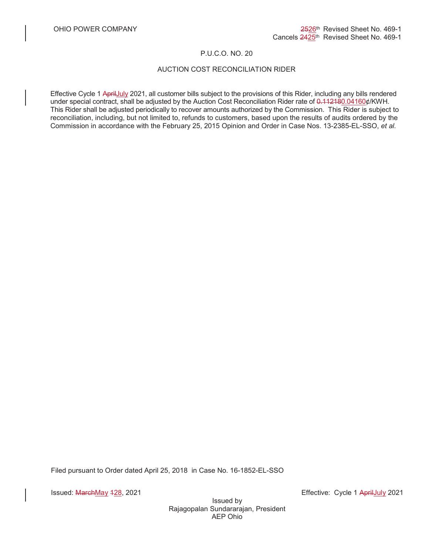## P.U.C.O. NO. 20

# AUCTION COST RECONCILIATION RIDER

Effective Cycle 1 AprilJuly 2021, all customer bills subject to the provisions of this Rider, including any bills rendered under special contract, shall be adjusted by the Auction Cost Reconciliation Rider rate of 0.112180.04160¢/KWH. This Rider shall be adjusted periodically to recover amounts authorized by the Commission. This Rider is subject to reconciliation, including, but not limited to, refunds to customers, based upon the results of audits ordered by the Commission in accordance with the February 25, 2015 Opinion and Order in Case Nos. 13-2385-EL-SSO, *et al.*

Filed pursuant to Order dated April 25, 2018 in Case No. 16-1852-EL-SSO

Issued: MarchMay 128, 2021 **Effective: Cycle 1 AprilLuly 2021** 

Issued by Rajagopalan Sundararajan, President AEP Ohio